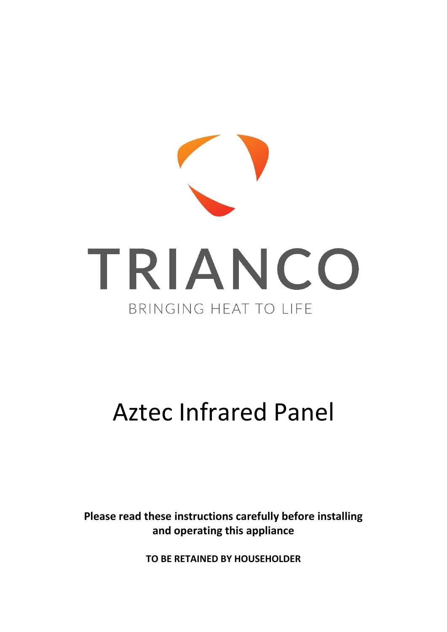

# Aztec Infrared Panel

**Please read these instructions carefully before installing and operating this appliance**

**TO BE RETAINED BY HOUSEHOLDER**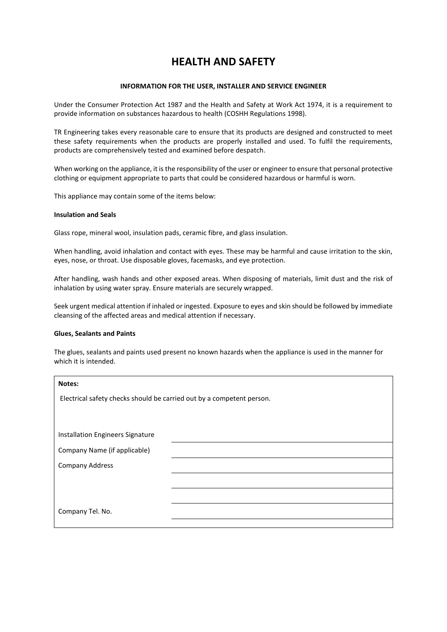# **HEALTH AND SAFETY**

#### **INFORMATION FOR THE USER, INSTALLER AND SERVICE ENGINEER**

Under the Consumer Protection Act 1987 and the Health and Safety at Work Act 1974, it is a requirement to provide information on substances hazardous to health (COSHH Regulations 1998).

TR Engineering takes every reasonable care to ensure that its products are designed and constructed to meet these safety requirements when the products are properly installed and used. To fulfil the requirements, products are comprehensively tested and examined before despatch.

When working on the appliance, it is the responsibility of the user or engineer to ensure that personal protective clothing or equipment appropriate to parts that could be considered hazardous or harmful is worn.

This appliance may contain some of the items below:

#### **Insulation and Seals**

Glass rope, mineral wool, insulation pads, ceramic fibre, and glass insulation.

When handling, avoid inhalation and contact with eyes. These may be harmful and cause irritation to the skin, eyes, nose, or throat. Use disposable gloves, facemasks, and eye protection.

After handling, wash hands and other exposed areas. When disposing of materials, limit dust and the risk of inhalation by using water spray. Ensure materials are securely wrapped.

Seek urgent medical attention if inhaled or ingested. Exposure to eyes and skin should be followed by immediate cleansing of the affected areas and medical attention if necessary.

#### **Glues, Sealants and Paints**

The glues, sealants and paints used present no known hazards when the appliance is used in the manner for which it is intended.

| Notes:                                                                |  |
|-----------------------------------------------------------------------|--|
| Electrical safety checks should be carried out by a competent person. |  |
|                                                                       |  |
| Installation Engineers Signature                                      |  |
|                                                                       |  |
| Company Name (if applicable)                                          |  |
| <b>Company Address</b>                                                |  |
|                                                                       |  |
|                                                                       |  |
| Company Tel. No.                                                      |  |
|                                                                       |  |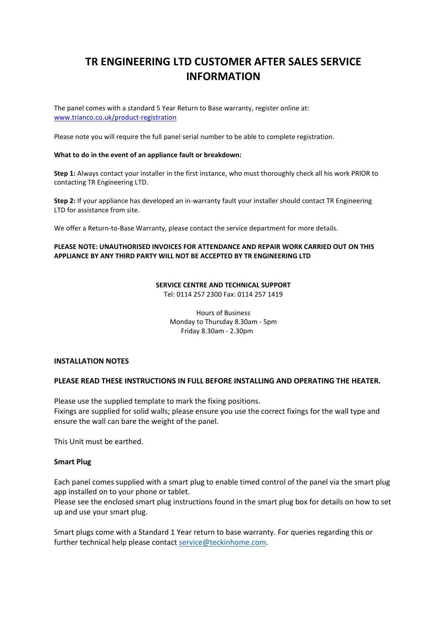# **TR ENGINEERING LTD CUSTOMER AFTER SALES SERVICE INFORMATION**

The panel comes with a standard 5 Year Return to Base warranty, register online at: [www.trianco.co.uk/product-registration](http://www.trianco.co.uk/product-registration)

Please note you will require the full panel serial number to be able to complete registration.

#### **What to do in the event of an appliance fault or breakdown:**

**Step 1:** Always contact your installer in the first instance, who must thoroughly check all his work PRIOR to contacting TR Engineering LTD.

**Step 2:** If your appliance has developed an in-warranty fault your installer should contact TR Engineering LTD for assistance from site.

We offer a Return-to-Base Warranty, please contact the service department for more details.

#### **PLEASE NOTE: UNAUTHORISED INVOICES FOR ATTENDANCE AND REPAIR WORK CARRIED OUT ON THIS APPLIANCE BY ANY THIRD PARTY WILL NOT BE ACCEPTED BY TR ENGINEERING LTD**

# **SERVICE CENTRE AND TECHNICAL SUPPORT**

Tel: 0114 257 2300 Fax: 0114 257 1419

Hours of Business Monday to Thursday 8.30am - 5pm Friday 8.30am - 2.30pm

#### **INSTALLATION NOTES**

#### **PLEASE READ THESE INSTRUCTIONS IN FULL BEFORE INSTALLING AND OPERATING THE HEATER.**

Please use the supplied template to mark the fixing positions. Fixings are supplied for solid walls; please ensure you use the correct fixings for the wall type and ensure the wall can bare the weight of the panel.

This Unit must be earthed.

#### **Smart Plug**

Each panel comes supplied with a smart plug to enable timed control of the panel via the smart plug app installed on to your phone or tablet.

Please see the enclosed smart plug instructions found in the smart plug box for details on how to set up and use your smart plug.

Smart plugs come with a Standard 1 Year return to base warranty. For queries regarding this or further technical help please contact [service@teckinhome.com.](mailto:service@teckinhome.com)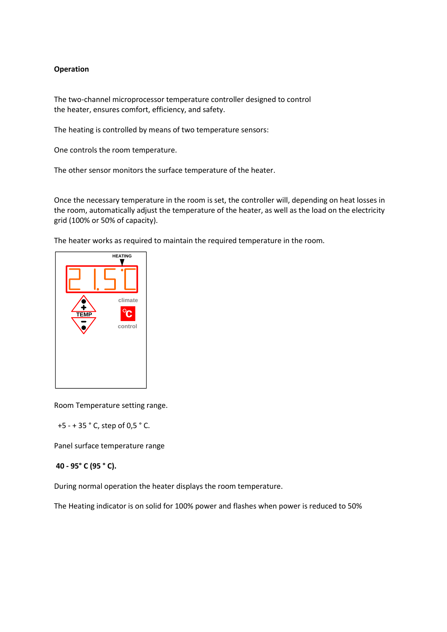### **Operation**

The two-channel microprocessor temperature controller designed to control the heater, ensures comfort, efficiency, and safety.

The heating is controlled by means of two temperature sensors:

One controls the room temperature.

The other sensor monitors the surface temperature of the heater.

Once the necessary temperature in the room is set, the controller will, depending on heat losses in the room, automatically adjust the temperature of the heater, as well as the load on the electricity grid (100% or 50% of capacity).

The heater works as required to maintain the required temperature in the room.



Room Temperature setting range.

+5 - + 35 ° C, step of 0,5 ° C.

Panel surface temperature range

#### **40 - 95° C (95 ° C).**

During normal operation the heater displays the room temperature.

The Heating indicator is on solid for 100% power and flashes when power is reduced to 50%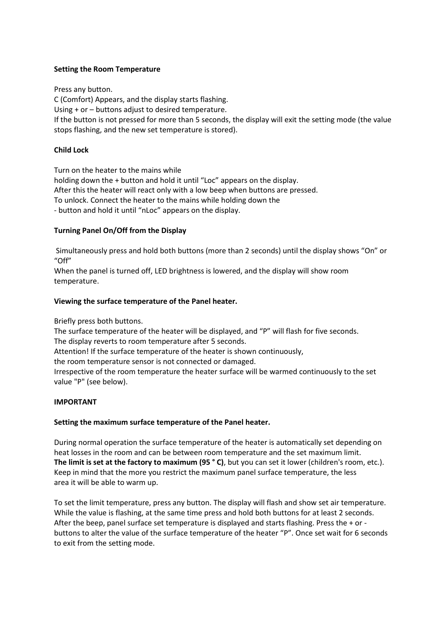#### **Setting the Room Temperature**

Press any button.

C (Comfort) Appears, and the display starts flashing.

Using + or – buttons adjust to desired temperature.

If the button is not pressed for more than 5 seconds, the display will exit the setting mode (the value stops flashing, and the new set temperature is stored).

## **Child Lock**

Turn on the heater to the mains while holding down the + button and hold it until "Loc" appears on the display. After this the heater will react only with a low beep when buttons are pressed. To unlock. Connect the heater to the mains while holding down the - button and hold it until "nLoc" appears on the display.

### **Turning Panel On/Off from the Display**

Simultaneously press and hold both buttons (more than 2 seconds) until the display shows "On" or "Off"

When the panel is turned off, LED brightness is lowered, and the display will show room temperature.

### **Viewing the surface temperature of the Panel heater.**

Briefly press both buttons.

The surface temperature of the heater will be displayed, and "P" will flash for five seconds. The display reverts to room temperature after 5 seconds.

Attention! If the surface temperature of the heater is shown continuously,

the room temperature sensor is not connected or damaged.

Irrespective of the room temperature the heater surface will be warmed continuously to the set value "P" (see below).

## **IMPORTANT**

#### **Setting the maximum surface temperature of the Panel heater.**

During normal operation the surface temperature of the heater is automatically set depending on heat losses in the room and can be between room temperature and the set maximum limit. **The limit is set at the factory to maximum (95 ° C)**, but you can set it lower (children's room, etc.). Keep in mind that the more you restrict the maximum panel surface temperature, the less area it will be able to warm up.

To set the limit temperature, press any button. The display will flash and show set air temperature. While the value is flashing, at the same time press and hold both buttons for at least 2 seconds. After the beep, panel surface set temperature is displayed and starts flashing. Press the + or buttons to alter the value of the surface temperature of the heater "P". Once set wait for 6 seconds to exit from the setting mode.